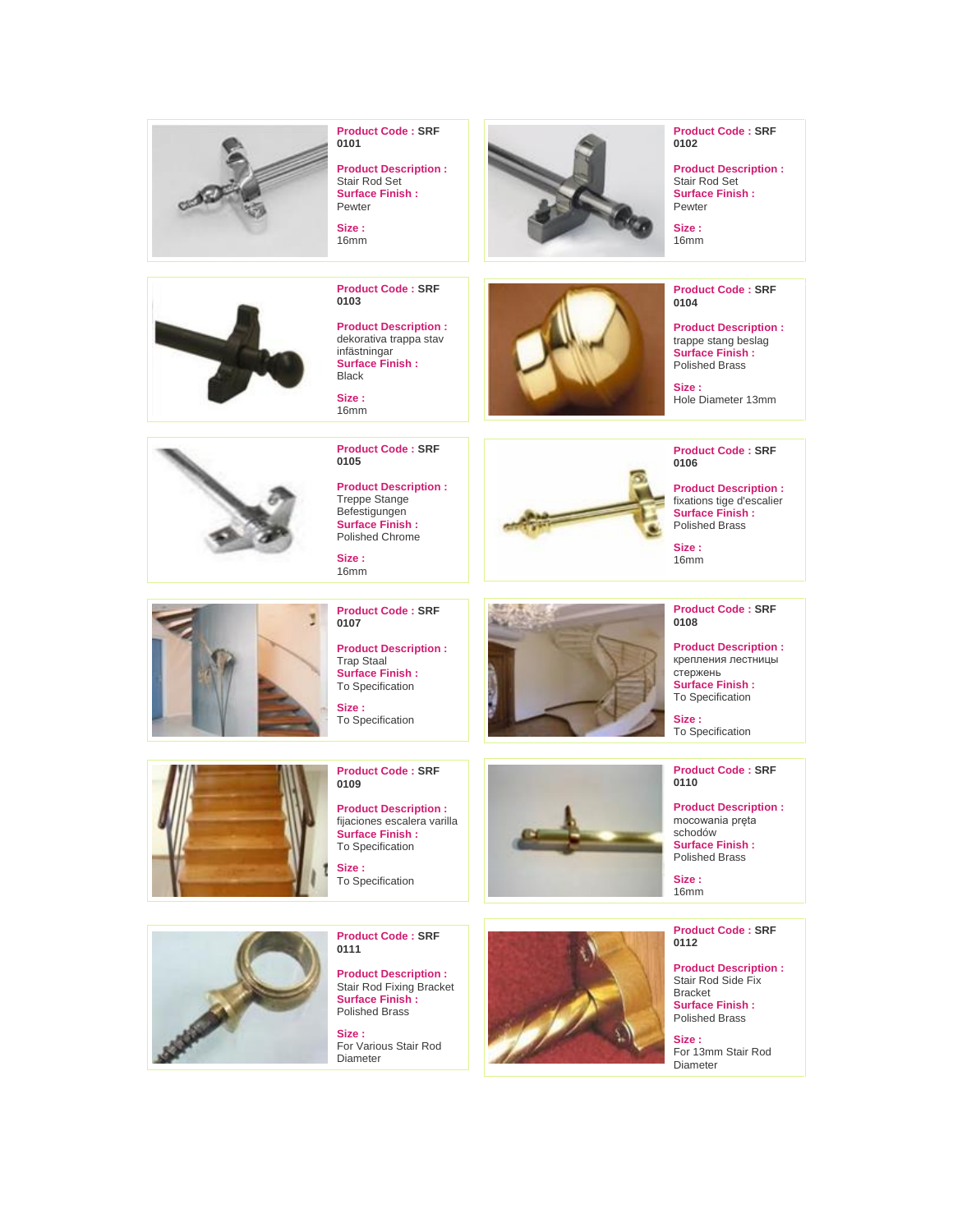



**Product Code : SRF 0101**

**Product Description :** Stair Rod Set **Surface Finish : Pewter** 

**Size :** 16mm

**Product Code : SRF 0103**

**Product Description :** dekorativa trappa stav infästningar **Surface Finish :** Black

**Size :** 16mm



**Product Code : SRF 0102**

**Product Description :** Stair Rod Set **Surface Finish : Pewter** 

**Size :** 16mm

**Product Code : SRF 0104**

**Product Description :** trappe stang beslag **Surface Finish :** Polished Brass

**Size :** Hole Diameter 13mm

**Product Code : SRF** 

**Product Description :** fixations tige d'escalier **Surface Finish :** Polished Brass **Size :** 16mm

**0106**



**Product Code : SRF 0105**

**Product Description :** Treppe Stange Befestigungen **Surface Finish :** Polished Chrome

**Size :** 16mm

3

**Product Code : SRF 0107**

**Product Description :** Trap Staal **Surface Finish :** To Specification

**Size :** To Specification



# **Product Code : SRF 0108**

крепления лестницы стержень **Surface Finish :**

**Product Code : SRF 0110**

**Product Description :** mocowania pręta schodów **Surface Finish :** Polished Brass

**Size :** 16mm

**Product Code : SRF 0112**

**Product Description :** Stair Rod Side Fix Bracket **Surface Finish :** Polished Brass

**Size :** For 13mm Stair Rod Diameter



**Product Code : SRF 0109**

**Product Description :** fijaciones escalera varilla **Surface Finish :** To Specification

**Size :** To Specification





**Product Code : SRF 0111**

**Product Description :** Stair Rod Fixing Bracket **Surface Finish :** Polished Brass

**Size :** For Various Stair Rod Diameter

**Product Description :**

To Specification

**Size :** To Specification